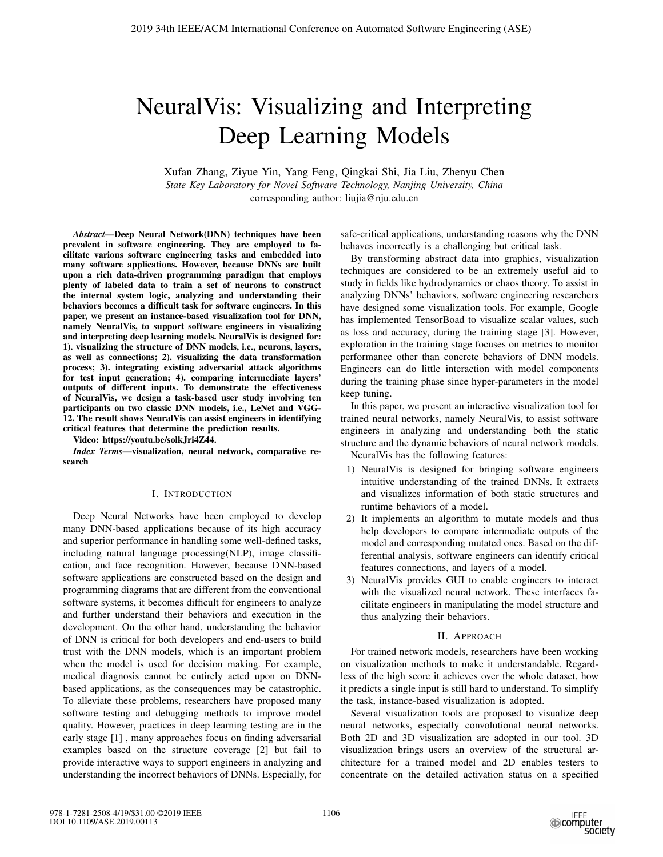# NeuralVis: Visualizing and Interpreting Deep Learning Models

Xufan Zhang, Ziyue Yin, Yang Feng, Qingkai Shi, Jia Liu, Zhenyu Chen *State Key Laboratory for Novel Software Technology, Nanjing University, China* corresponding author: liujia@nju.edu.cn

*Abstract*—Deep Neural Network(DNN) techniques have been prevalent in software engineering. They are employed to facilitate various software engineering tasks and embedded into many software applications. However, because DNNs are built upon a rich data-driven programming paradigm that employs plenty of labeled data to train a set of neurons to construct the internal system logic, analyzing and understanding their behaviors becomes a difficult task for software engineers. In this paper, we present an instance-based visualization tool for DNN, namely NeuralVis, to support software engineers in visualizing and interpreting deep learning models. NeuralVis is designed for: 1). visualizing the structure of DNN models, i.e., neurons, layers, as well as connections; 2). visualizing the data transformation process; 3). integrating existing adversarial attack algorithms for test input generation; 4). comparing intermediate layers' outputs of different inputs. To demonstrate the effectiveness of NeuralVis, we design a task-based user study involving ten participants on two classic DNN models, i.e., LeNet and VGG-12. The result shows NeuralVis can assist engineers in identifying critical features that determine the prediction results.

Video: https://youtu.be/solkJri4Z44.

*Index Terms*—visualization, neural network, comparative research

# I. INTRODUCTION

Deep Neural Networks have been employed to develop many DNN-based applications because of its high accuracy and superior performance in handling some well-defined tasks, including natural language processing(NLP), image classification, and face recognition. However, because DNN-based software applications are constructed based on the design and programming diagrams that are different from the conventional software systems, it becomes difficult for engineers to analyze and further understand their behaviors and execution in the development. On the other hand, understanding the behavior of DNN is critical for both developers and end-users to build trust with the DNN models, which is an important problem when the model is used for decision making. For example, medical diagnosis cannot be entirely acted upon on DNNbased applications, as the consequences may be catastrophic. To alleviate these problems, researchers have proposed many software testing and debugging methods to improve model quality. However, practices in deep learning testing are in the early stage [1] , many approaches focus on finding adversarial examples based on the structure coverage [2] but fail to provide interactive ways to support engineers in analyzing and understanding the incorrect behaviors of DNNs. Especially, for safe-critical applications, understanding reasons why the DNN behaves incorrectly is a challenging but critical task.

By transforming abstract data into graphics, visualization techniques are considered to be an extremely useful aid to study in fields like hydrodynamics or chaos theory. To assist in analyzing DNNs' behaviors, software engineering researchers have designed some visualization tools. For example, Google has implemented TensorBoad to visualize scalar values, such as loss and accuracy, during the training stage [3]. However, exploration in the training stage focuses on metrics to monitor performance other than concrete behaviors of DNN models. Engineers can do little interaction with model components during the training phase since hyper-parameters in the model keep tuning.

In this paper, we present an interactive visualization tool for trained neural networks, namely NeuralVis, to assist software engineers in analyzing and understanding both the static structure and the dynamic behaviors of neural network models. NeuralVis has the following features:

- 1) NeuralVis is designed for bringing software engineers intuitive understanding of the trained DNNs. It extracts and visualizes information of both static structures and runtime behaviors of a model.
- 2) It implements an algorithm to mutate models and thus help developers to compare intermediate outputs of the model and corresponding mutated ones. Based on the differential analysis, software engineers can identify critical features connections, and layers of a model.
- 3) NeuralVis provides GUI to enable engineers to interact with the visualized neural network. These interfaces facilitate engineers in manipulating the model structure and thus analyzing their behaviors.

#### II. APPROACH

For trained network models, researchers have been working on visualization methods to make it understandable. Regardless of the high score it achieves over the whole dataset, how it predicts a single input is still hard to understand. To simplify the task, instance-based visualization is adopted.

Several visualization tools are proposed to visualize deep neural networks, especially convolutional neural networks. Both 2D and 3D visualization are adopted in our tool. 3D visualization brings users an overview of the structural architecture for a trained model and 2D enables testers to concentrate on the detailed activation status on a specified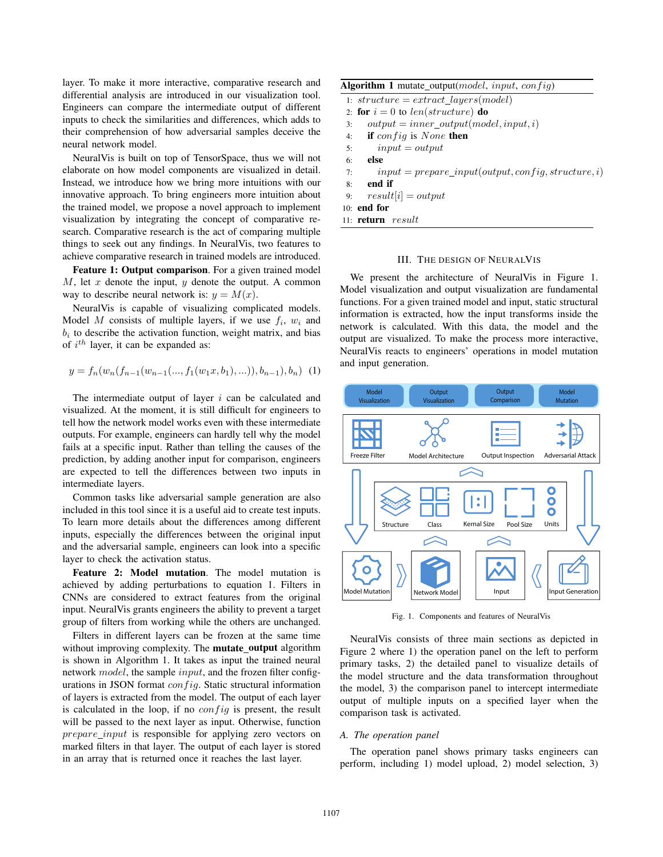layer. To make it more interactive, comparative research and differential analysis are introduced in our visualization tool. Engineers can compare the intermediate output of different inputs to check the similarities and differences, which adds to their comprehension of how adversarial samples deceive the neural network model.

NeuralVis is built on top of TensorSpace, thus we will not elaborate on how model components are visualized in detail. Instead, we introduce how we bring more intuitions with our innovative approach. To bring engineers more intuition about the trained model, we propose a novel approach to implement visualization by integrating the concept of comparative research. Comparative research is the act of comparing multiple things to seek out any findings. In NeuralVis, two features to achieve comparative research in trained models are introduced.

Feature 1: Output comparison. For a given trained model M, let x denote the input, y denote the output. A common way to describe neural network is:  $y = M(x)$ .

NeuralVis is capable of visualizing complicated models. Model M consists of multiple layers, if we use  $f_i$ ,  $w_i$  and  $b_i$  to describe the activation function, weight matrix, and bias of  $i^{th}$  layer, it can be expanded as:

$$
y = f_n(w_n(f_{n-1}(w_{n-1}(\ldots, f_1(w_1x, b_1), \ldots)), b_{n-1}), b_n) \tag{1}
$$

The intermediate output of layer  $i$  can be calculated and visualized. At the moment, it is still difficult for engineers to tell how the network model works even with these intermediate outputs. For example, engineers can hardly tell why the model fails at a specific input. Rather than telling the causes of the prediction, by adding another input for comparison, engineers are expected to tell the differences between two inputs in intermediate layers.

Common tasks like adversarial sample generation are also included in this tool since it is a useful aid to create test inputs. To learn more details about the differences among different inputs, especially the differences between the original input and the adversarial sample, engineers can look into a specific layer to check the activation status.

Feature 2: Model mutation. The model mutation is achieved by adding perturbations to equation 1. Filters in CNNs are considered to extract features from the original input. NeuralVis grants engineers the ability to prevent a target group of filters from working while the others are unchanged.

Filters in different layers can be frozen at the same time without improving complexity. The **mutate\_output** algorithm is shown in Algorithm 1. It takes as input the trained neural network model, the sample input, and the frozen filter configurations in JSON format  $config$ . Static structural information of layers is extracted from the model. The output of each layer is calculated in the loop, if no  $config$  is present, the result will be passed to the next layer as input. Otherwise, function prepare\_input is responsible for applying zero vectors on marked filters in that layer. The output of each layer is stored in an array that is returned once it reaches the last layer.

|  |  | Algorithm 1 mutate_output(model, input, config) |  |  |
|--|--|-------------------------------------------------|--|--|
|--|--|-------------------------------------------------|--|--|

|    | 1: $structure = extract\_layers(model)$                |
|----|--------------------------------------------------------|
|    | 2. for $i = 0$ to len(structure) do                    |
| 3: | $output = inner\_output(model, input, i)$              |
| 4: | <b>if</b> config is None then                          |
| 5: | $input = output$                                       |
| 6: | else                                                   |
| 7: | $input = prepare\_input(output, config, structure, i)$ |
| 8: | end if                                                 |
|    | 9: $result[i] = output$                                |
|    | 10: end for                                            |
|    | 11: $return$ $result$                                  |

#### III. THE DESIGN OF NEURALVIS

We present the architecture of NeuralVis in Figure 1. Model visualization and output visualization are fundamental functions. For a given trained model and input, static structural information is extracted, how the input transforms inside the network is calculated. With this data, the model and the output are visualized. To make the process more interactive, NeuralVis reacts to engineers' operations in model mutation and input generation.



Fig. 1. Components and features of NeuralVis

NeuralVis consists of three main sections as depicted in Figure 2 where 1) the operation panel on the left to perform primary tasks, 2) the detailed panel to visualize details of the model structure and the data transformation throughout the model, 3) the comparison panel to intercept intermediate output of multiple inputs on a specified layer when the comparison task is activated.

#### *A. The operation panel*

The operation panel shows primary tasks engineers can perform, including 1) model upload, 2) model selection, 3)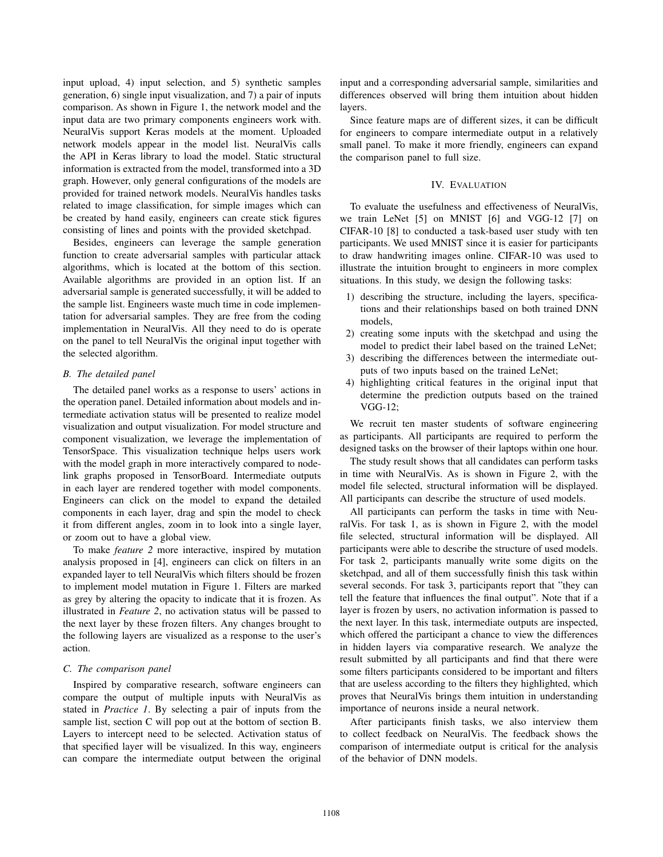input upload, 4) input selection, and 5) synthetic samples generation, 6) single input visualization, and 7) a pair of inputs comparison. As shown in Figure 1, the network model and the input data are two primary components engineers work with. NeuralVis support Keras models at the moment. Uploaded network models appear in the model list. NeuralVis calls the API in Keras library to load the model. Static structural information is extracted from the model, transformed into a 3D graph. However, only general configurations of the models are provided for trained network models. NeuralVis handles tasks related to image classification, for simple images which can be created by hand easily, engineers can create stick figures consisting of lines and points with the provided sketchpad.

Besides, engineers can leverage the sample generation function to create adversarial samples with particular attack algorithms, which is located at the bottom of this section. Available algorithms are provided in an option list. If an adversarial sample is generated successfully, it will be added to the sample list. Engineers waste much time in code implementation for adversarial samples. They are free from the coding implementation in NeuralVis. All they need to do is operate on the panel to tell NeuralVis the original input together with the selected algorithm.

# *B. The detailed panel*

The detailed panel works as a response to users' actions in the operation panel. Detailed information about models and intermediate activation status will be presented to realize model visualization and output visualization. For model structure and component visualization, we leverage the implementation of TensorSpace. This visualization technique helps users work with the model graph in more interactively compared to nodelink graphs proposed in TensorBoard. Intermediate outputs in each layer are rendered together with model components. Engineers can click on the model to expand the detailed components in each layer, drag and spin the model to check it from different angles, zoom in to look into a single layer, or zoom out to have a global view.

To make *feature 2* more interactive, inspired by mutation analysis proposed in [4], engineers can click on filters in an expanded layer to tell NeuralVis which filters should be frozen to implement model mutation in Figure 1. Filters are marked as grey by altering the opacity to indicate that it is frozen. As illustrated in *Feature 2*, no activation status will be passed to the next layer by these frozen filters. Any changes brought to the following layers are visualized as a response to the user's action.

## *C. The comparison panel*

Inspired by comparative research, software engineers can compare the output of multiple inputs with NeuralVis as stated in *Practice 1*. By selecting a pair of inputs from the sample list, section C will pop out at the bottom of section B. Layers to intercept need to be selected. Activation status of that specified layer will be visualized. In this way, engineers can compare the intermediate output between the original

input and a corresponding adversarial sample, similarities and differences observed will bring them intuition about hidden layers.

Since feature maps are of different sizes, it can be difficult for engineers to compare intermediate output in a relatively small panel. To make it more friendly, engineers can expand the comparison panel to full size.

# IV. EVALUATION

To evaluate the usefulness and effectiveness of NeuralVis, we train LeNet [5] on MNIST [6] and VGG-12 [7] on CIFAR-10 [8] to conducted a task-based user study with ten participants. We used MNIST since it is easier for participants to draw handwriting images online. CIFAR-10 was used to illustrate the intuition brought to engineers in more complex situations. In this study, we design the following tasks:

- 1) describing the structure, including the layers, specifications and their relationships based on both trained DNN models,
- 2) creating some inputs with the sketchpad and using the model to predict their label based on the trained LeNet;
- 3) describing the differences between the intermediate outputs of two inputs based on the trained LeNet;
- 4) highlighting critical features in the original input that determine the prediction outputs based on the trained VGG-12;

We recruit ten master students of software engineering as participants. All participants are required to perform the designed tasks on the browser of their laptops within one hour.

The study result shows that all candidates can perform tasks in time with NeuralVis. As is shown in Figure 2, with the model file selected, structural information will be displayed. All participants can describe the structure of used models.

All participants can perform the tasks in time with NeuralVis. For task 1, as is shown in Figure 2, with the model file selected, structural information will be displayed. All participants were able to describe the structure of used models. For task 2, participants manually write some digits on the sketchpad, and all of them successfully finish this task within several seconds. For task 3, participants report that "they can tell the feature that influences the final output". Note that if a layer is frozen by users, no activation information is passed to the next layer. In this task, intermediate outputs are inspected, which offered the participant a chance to view the differences in hidden layers via comparative research. We analyze the result submitted by all participants and find that there were some filters participants considered to be important and filters that are useless according to the filters they highlighted, which proves that NeuralVis brings them intuition in understanding importance of neurons inside a neural network.

After participants finish tasks, we also interview them to collect feedback on NeuralVis. The feedback shows the comparison of intermediate output is critical for the analysis of the behavior of DNN models.